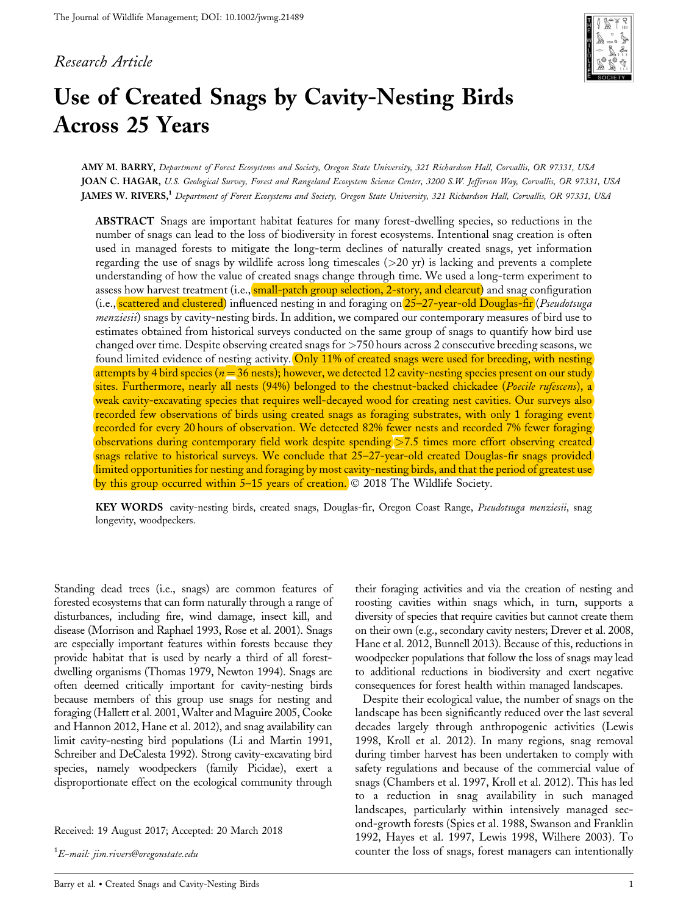## *Research Article*



# **Use of Created Snags by Cavity-Nesting Birds Across 25 Years**

**AMY M. BARRY,** *Department of Forest Ecosystems and Society, Oregon State University, 321 Richardson Hall, Corvallis, OR 97331, USA* **JOAN C. HAGAR,** *U.S. Geological Survey, Forest and Rangeland Ecosystem Science Center, 3200 S.W. Jefferson Way, Corvallis, OR 97331, USA* **JAMES W. RIVERS,1** *Department of Forest Ecosystems and Society, Oregon State University, 321 Richardson Hall, Corvallis, OR 97331, USA*

**ABSTRACT** Snags are important habitat features for many forest-dwelling species, so reductions in the number of snags can lead to the loss of biodiversity in forest ecosystems. Intentional snag creation is often used in managed forests to mitigate the long-term declines of naturally created snags, yet information regarding the use of snags by wildlife across long timescales  $(>20 \text{ yr})$  is lacking and prevents a complete understanding of how the value of created snags change through time. We used a long-term experiment to assess how harvest treatment (i.e., small-patch group selection, 2-story, and clearcut) and snag configuration (i.e., scattered and clustered) influenced nesting in and foraging on 25–27-year-old Douglas-fir (*Pseudotsuga menziesii*) snags by cavity-nesting birds. In addition, we compared our contemporary measures of bird use to estimates obtained from historical surveys conducted on the same group of snags to quantify how bird use changed over time. Despite observing created snags for >750 hours across 2 consecutive breeding seasons, we found limited evidence of nesting activity. Only 11% of created snags were used for breeding, with nesting attempts by 4 bird species ( $n = 36$  nests); however, we detected 12 cavity-nesting species present on our study sites. Furthermore, nearly all nests (94%) belonged to the chestnut-backed chickadee (*Poecile rufescens*), a weak cavity-excavating species that requires well-decayed wood for creating nest cavities. Our surveys also recorded few observations of birds using created snags as foraging substrates, with only 1 foraging event recorded for every 20 hours of observation. We detected 82% fewer nests and recorded 7% fewer foraging observations during contemporary field work despite spending >7.5 times more effort observing created snags relative to historical surveys. We conclude that 25–27-year-old created Douglas-fir snags provided limited opportunities for nesting and foraging by most cavity-nesting birds, and that the period of greatest use by this group occurred within  $5-15$  years of creation.  $\circ$  2018 The Wildlife Society.

**KEY WORDS** cavity-nesting birds, created snags, Douglas-fir, Oregon Coast Range, *Pseudotsuga menziesii*, snag longevity, woodpeckers.

Standing dead trees (i.e., snags) are common features of forested ecosystems that can form naturally through a range of disturbances, including fire, wind damage, insect kill, and disease (Morrison and Raphael 1993, Rose et al. 2001). Snags are especially important features within forests because they provide habitat that is used by nearly a third of all forestdwelling organisms (Thomas 1979, Newton 1994). Snags are often deemed critically important for cavity-nesting birds because members of this group use snags for nesting and foraging (Hallett et al. 2001,Walter and Maguire 2005, Cooke and Hannon 2012, Hane et al. 2012), and snag availability can limit cavity-nesting bird populations (Li and Martin 1991, Schreiber and DeCalesta 1992). Strong cavity-excavating bird species, namely woodpeckers (family Picidae), exert a disproportionate effect on the ecological community through

Received: 19 August 2017; Accepted: 20 March 2018

1 *E-mail: jim.rivers@oregonstate.edu*

their foraging activities and via the creation of nesting and roosting cavities within snags which, in turn, supports a diversity of species that require cavities but cannot create them on their own (e.g., secondary cavity nesters; Drever et al. 2008, Hane et al. 2012, Bunnell 2013). Because of this, reductions in woodpecker populations that follow the loss of snags may lead to additional reductions in biodiversity and exert negative consequences for forest health within managed landscapes.

Despite their ecological value, the number of snags on the landscape has been significantly reduced over the last several decades largely through anthropogenic activities (Lewis 1998, Kroll et al. 2012). In many regions, snag removal during timber harvest has been undertaken to comply with safety regulations and because of the commercial value of snags (Chambers et al. 1997, Kroll et al. 2012). This has led to a reduction in snag availability in such managed landscapes, particularly within intensively managed second-growth forests (Spies et al. 1988, Swanson and Franklin 1992, Hayes et al. 1997, Lewis 1998, Wilhere 2003). To counter the loss of snags, forest managers can intentionally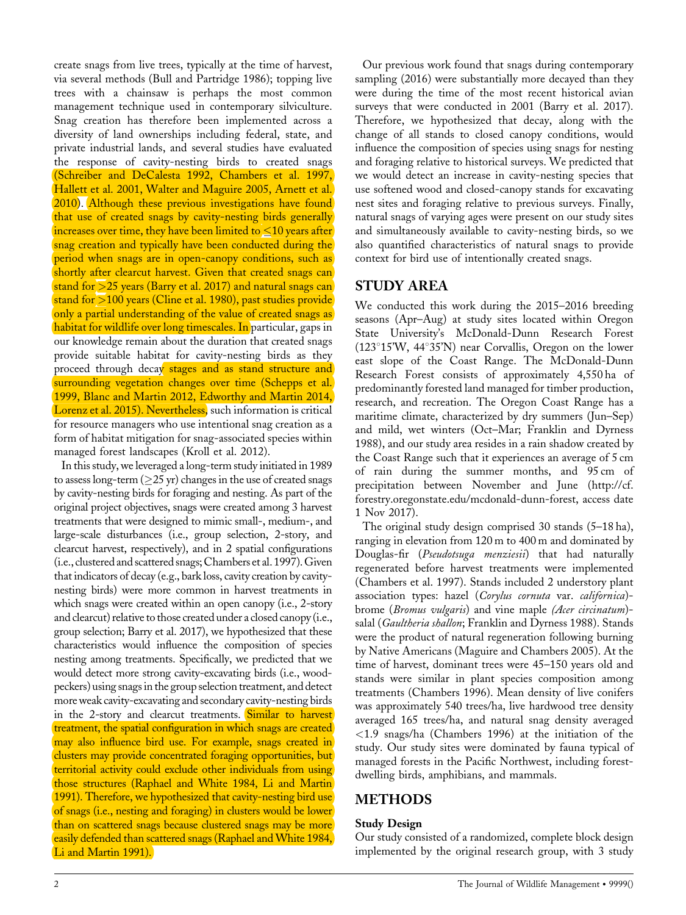create snags from live trees, typically at the time of harvest, via several methods (Bull and Partridge 1986); topping live trees with a chainsaw is perhaps the most common management technique used in contemporary silviculture. Snag creation has therefore been implemented across a diversity of land ownerships including federal, state, and private industrial lands, and several studies have evaluated the response of cavity-nesting birds to created snags (Schreiber and DeCalesta 1992, Chambers et al. 1997, Hallett et al. 2001, Walter and Maguire 2005, Arnett et al. 2010). Although these previous investigations have found that use of created snags by cavity-nesting birds generally increases over time, they have been limited to  $\leq 10$  years after snag creation and typically have been conducted during the period when snags are in open-canopy conditions, such as shortly after clearcut harvest. Given that created snags can stand for >25 years (Barry et al. 2017) and natural snags can stand for >100 years (Cline et al. 1980), past studies provide only a partial understanding of the value of created snags as habitat for wildlife over long timescales. In particular, gaps in our knowledge remain about the duration that created snags provide suitable habitat for cavity-nesting birds as they proceed through decay stages and as stand structure and surrounding vegetation changes over time (Schepps et al. 1999, Blanc and Martin 2012, Edworthy and Martin 2014, Lorenz et al. 2015). Nevertheless, such information is critical for resource managers who use intentional snag creation as a form of habitat mitigation for snag-associated species within managed forest landscapes (Kroll et al. 2012).

In this study, we leveraged a long-term study initiated in 1989 to assess long-term ( $\geq$ 25 yr) changes in the use of created snags by cavity-nesting birds for foraging and nesting. As part of the original project objectives, snags were created among 3 harvest treatments that were designed to mimic small-, medium-, and large-scale disturbances (i.e., group selection, 2-story, and clearcut harvest, respectively), and in 2 spatial configurations (i.e., clustered and scattered snags; Chambers et al. 1997).Given that indicators of decay (e.g., bark loss, cavity creation by cavitynesting birds) were more common in harvest treatments in which snags were created within an open canopy (i.e., 2-story and clearcut) relative to those created under a closed canopy (i.e., group selection; Barry et al. 2017), we hypothesized that these characteristics would influence the composition of species nesting among treatments. Specifically, we predicted that we would detect more strong cavity-excavating birds (i.e., woodpeckers) using snags in the group selection treatment, and detect more weak cavity-excavating and secondary cavity-nesting birds in the 2-story and clearcut treatments. Similar to harvest treatment, the spatial configuration in which snags are created may also influence bird use. For example, snags created in clusters may provide concentrated foraging opportunities, but territorial activity could exclude other individuals from using those structures (Raphael and White 1984, Li and Martin 1991). Therefore, we hypothesized that cavity-nesting bird use of snags (i.e., nesting and foraging) in clusters would be lower than on scattered snags because clustered snags may be more easily defended than scattered snags (Raphael and White 1984, Li and Martin 1991).

Our previous work found that snags during contemporary sampling (2016) were substantially more decayed than they were during the time of the most recent historical avian surveys that were conducted in 2001 (Barry et al. 2017). Therefore, we hypothesized that decay, along with the change of all stands to closed canopy conditions, would influence the composition of species using snags for nesting and foraging relative to historical surveys. We predicted that we would detect an increase in cavity-nesting species that use softened wood and closed-canopy stands for excavating nest sites and foraging relative to previous surveys. Finally, natural snags of varying ages were present on our study sites and simultaneously available to cavity-nesting birds, so we also quantified characteristics of natural snags to provide context for bird use of intentionally created snags.

## **STUDY AREA**

We conducted this work during the 2015–2016 breeding seasons (Apr–Aug) at study sites located within Oregon State University's McDonald-Dunn Research Forest  $(123^{\circ}15'W, 44^{\circ}35'N)$  near Corvallis, Oregon on the lower east slope of the Coast Range. The McDonald-Dunn Research Forest consists of approximately 4,550 ha of predominantly forested land managed for timber production, research, and recreation. The Oregon Coast Range has a maritime climate, characterized by dry summers (Jun–Sep) and mild, wet winters (Oct–Mar; Franklin and Dyrness 1988), and our study area resides in a rain shadow created by the Coast Range such that it experiences an average of 5 cm of rain during the summer months, and 95 cm of precipitation between November and June [\(http://cf.](http://cf.forestry.oregonstate.edu/mcdonald-dunn-forest) [forestry.oregonstate.edu/mcdonald-dunn-forest,](http://cf.forestry.oregonstate.edu/mcdonald-dunn-forest) access date 1 Nov 2017).

The original study design comprised 30 stands (5–18 ha), ranging in elevation from 120 m to 400 m and dominated by Douglas-fir (*Pseudotsuga menziesii*) that had naturally regenerated before harvest treatments were implemented (Chambers et al. 1997). Stands included 2 understory plant association types: hazel (*Corylus cornuta* var. *californica*) brome (*Bromus vulgaris*) and vine maple *(Acer circinatum*) salal (*Gaultheria shallon*; Franklin and Dyrness 1988). Stands were the product of natural regeneration following burning by Native Americans (Maguire and Chambers 2005). At the time of harvest, dominant trees were 45–150 years old and stands were similar in plant species composition among treatments (Chambers 1996). Mean density of live conifers was approximately 540 trees/ha, live hardwood tree density averaged 165 trees/ha, and natural snag density averaged <1.9 snags/ha (Chambers 1996) at the initiation of the study. Our study sites were dominated by fauna typical of managed forests in the Pacific Northwest, including forestdwelling birds, amphibians, and mammals.

# **METHODS**

## **Study Design**

Our study consisted of a randomized, complete block design implemented by the original research group, with 3 study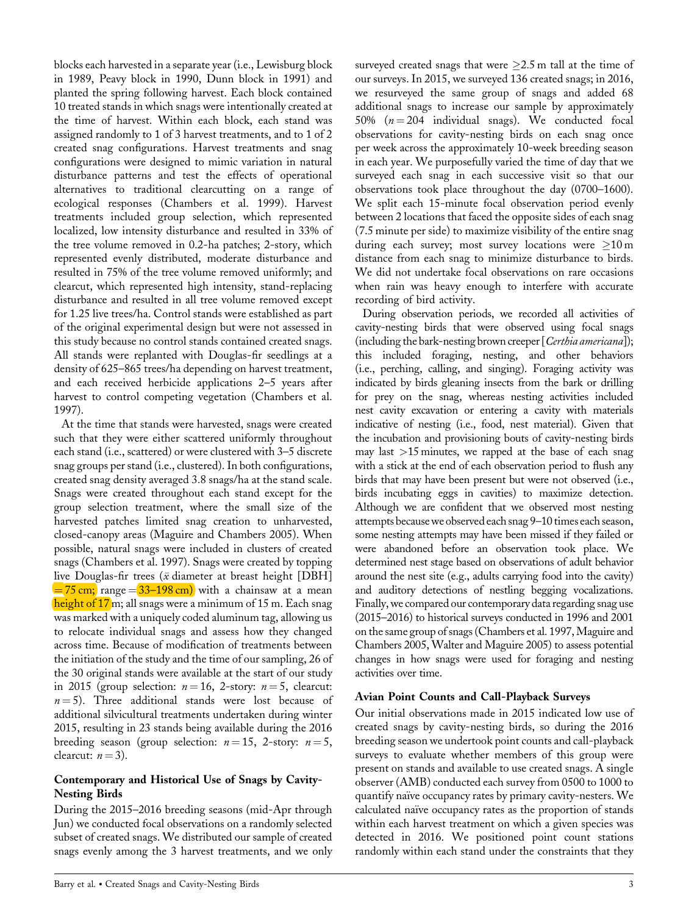blocks each harvested in a separate year (i.e., Lewisburg block in 1989, Peavy block in 1990, Dunn block in 1991) and planted the spring following harvest. Each block contained 10 treated stands in which snags were intentionally created at the time of harvest. Within each block, each stand was assigned randomly to 1 of 3 harvest treatments, and to 1 of 2 created snag configurations. Harvest treatments and snag configurations were designed to mimic variation in natural disturbance patterns and test the effects of operational alternatives to traditional clearcutting on a range of ecological responses (Chambers et al. 1999). Harvest treatments included group selection, which represented localized, low intensity disturbance and resulted in 33% of the tree volume removed in 0.2-ha patches; 2-story, which represented evenly distributed, moderate disturbance and resulted in 75% of the tree volume removed uniformly; and clearcut, which represented high intensity, stand-replacing disturbance and resulted in all tree volume removed except for 1.25 live trees/ha. Control stands were established as part of the original experimental design but were not assessed in this study because no control stands contained created snags. All stands were replanted with Douglas-fir seedlings at a density of 625–865 trees/ha depending on harvest treatment, and each received herbicide applications 2–5 years after harvest to control competing vegetation (Chambers et al. 1997).

At the time that stands were harvested, snags were created such that they were either scattered uniformly throughout each stand (i.e., scattered) or were clustered with 3–5 discrete snag groups per stand (i.e., clustered). In both configurations, created snag density averaged 3.8 snags/ha at the stand scale. Snags were created throughout each stand except for the group selection treatment, where the small size of the harvested patches limited snag creation to unharvested, closed-canopy areas (Maguire and Chambers 2005). When possible, natural snags were included in clusters of created snags (Chambers et al. 1997). Snags were created by topping live Douglas-fir trees ( $\bar{x}$  diameter at breast height [DBH]  $= 75$  cm; range  $= 33 - 198$  cm) with a chainsaw at a mean height of 17<sub>m;</sub> all snags were a minimum of 15 m. Each snag was marked with a uniquely coded aluminum tag, allowing us to relocate individual snags and assess how they changed across time. Because of modification of treatments between the initiation of the study and the time of our sampling, 26 of the 30 original stands were available at the start of our study in 2015 (group selection:  $n = 16$ , 2-story:  $n = 5$ , clearcut:  $n = 5$ ). Three additional stands were lost because of additional silvicultural treatments undertaken during winter 2015, resulting in 23 stands being available during the 2016 breeding season (group selection:  $n = 15$ , 2-story:  $n = 5$ , clearcut:  $n = 3$ ).

#### **Contemporary and Historical Use of Snags by Cavity-Nesting Birds**

During the 2015–2016 breeding seasons (mid-Apr through Jun) we conducted focal observations on a randomly selected subset of created snags. We distributed our sample of created snags evenly among the 3 harvest treatments, and we only surveyed created snags that were  $\geq$ 2.5 m tall at the time of our surveys. In 2015, we surveyed 136 created snags; in 2016, we resurveyed the same group of snags and added 68 additional snags to increase our sample by approximately 50%  $(n=204$  individual snags). We conducted focal observations for cavity-nesting birds on each snag once per week across the approximately 10-week breeding season in each year. We purposefully varied the time of day that we surveyed each snag in each successive visit so that our observations took place throughout the day (0700–1600). We split each 15-minute focal observation period evenly between 2 locations that faced the opposite sides of each snag (7.5 minute per side) to maximize visibility of the entire snag during each survey; most survey locations were  $\geq 10 \,\mathrm{m}$ distance from each snag to minimize disturbance to birds. We did not undertake focal observations on rare occasions when rain was heavy enough to interfere with accurate recording of bird activity.

During observation periods, we recorded all activities of cavity-nesting birds that were observed using focal snags (including the bark-nesting brown creeper [*Certhia americana*]); this included foraging, nesting, and other behaviors (i.e., perching, calling, and singing). Foraging activity was indicated by birds gleaning insects from the bark or drilling for prey on the snag, whereas nesting activities included nest cavity excavation or entering a cavity with materials indicative of nesting (i.e., food, nest material). Given that the incubation and provisioning bouts of cavity-nesting birds may last  $>15$  minutes, we rapped at the base of each snag with a stick at the end of each observation period to flush any birds that may have been present but were not observed (i.e., birds incubating eggs in cavities) to maximize detection. Although we are confident that we observed most nesting attempts becausewe observed each snag 9–10 times each season, some nesting attempts may have been missed if they failed or were abandoned before an observation took place. We determined nest stage based on observations of adult behavior around the nest site (e.g., adults carrying food into the cavity) and auditory detections of nestling begging vocalizations. Finally, we compared our contemporary data regarding snag use (2015–2016) to historical surveys conducted in 1996 and 2001 on the same group of snags (Chambers et al. 1997, Maguire and Chambers 2005, Walter and Maguire 2005) to assess potential changes in how snags were used for foraging and nesting activities over time.

## **Avian Point Counts and Call-Playback Surveys**

Our initial observations made in 2015 indicated low use of created snags by cavity-nesting birds, so during the 2016 breeding season we undertook point counts and call-playback surveys to evaluate whether members of this group were present on stands and available to use created snags. A single observer (AMB) conducted each survey from 0500 to 1000 to quantify naïve occupancy rates by primary cavity-nesters. We calculated naïve occupancy rates as the proportion of stands within each harvest treatment on which a given species was detected in 2016. We positioned point count stations randomly within each stand under the constraints that they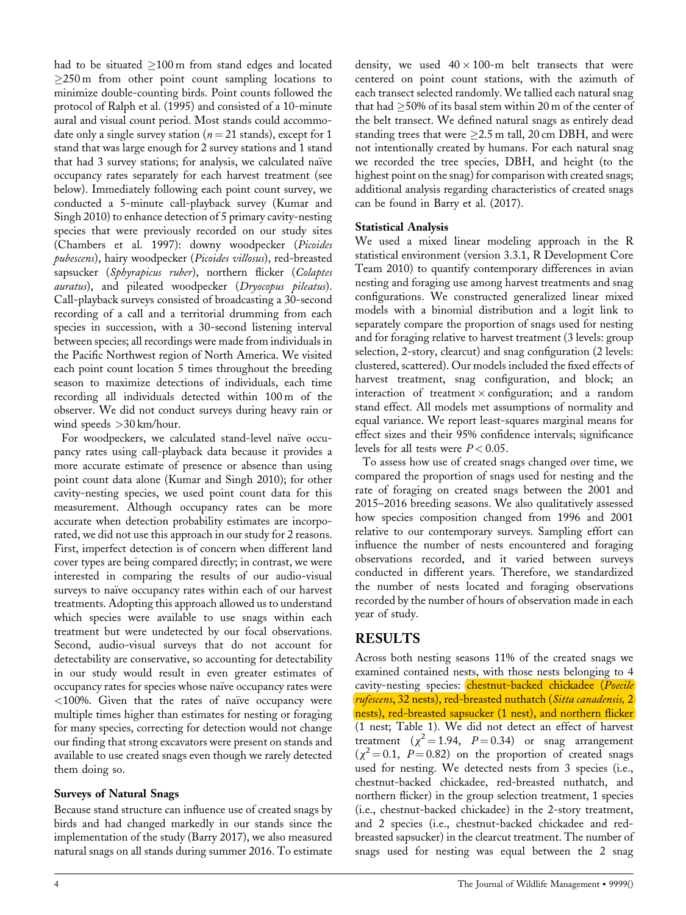had to be situated  $\geq$ 100 m from stand edges and located  $\geq$ 250 m from other point count sampling locations to minimize double-counting birds. Point counts followed the protocol of Ralph et al. (1995) and consisted of a 10-minute aural and visual count period. Most stands could accommodate only a single survey station ( $n = 21$  stands), except for 1 stand that was large enough for 2 survey stations and 1 stand that had 3 survey stations; for analysis, we calculated naïve occupancy rates separately for each harvest treatment (see below). Immediately following each point count survey, we conducted a 5-minute call-playback survey (Kumar and Singh 2010) to enhance detection of 5 primary cavity-nesting species that were previously recorded on our study sites (Chambers et al. 1997): downy woodpecker (*Picoides pubescens*), hairy woodpecker (*Picoides villosus*), red-breasted sapsucker (*Sphyrapicus ruber*), northern flicker (*Colaptes auratus*), and pileated woodpecker (*Dryocopus pileatus*). Call-playback surveys consisted of broadcasting a 30-second recording of a call and a territorial drumming from each species in succession, with a 30-second listening interval between species; all recordings were made from individuals in the Pacific Northwest region of North America. We visited each point count location 5 times throughout the breeding season to maximize detections of individuals, each time recording all individuals detected within 100 m of the observer. We did not conduct surveys during heavy rain or wind speeds >30 km/hour.

For woodpeckers, we calculated stand-level naïve occupancy rates using call-playback data because it provides a more accurate estimate of presence or absence than using point count data alone (Kumar and Singh 2010); for other cavity-nesting species, we used point count data for this measurement. Although occupancy rates can be more accurate when detection probability estimates are incorporated, we did not use this approach in our study for 2 reasons. First, imperfect detection is of concern when different land cover types are being compared directly; in contrast, we were interested in comparing the results of our audio-visual surveys to naïve occupancy rates within each of our harvest treatments. Adopting this approach allowed us to understand which species were available to use snags within each treatment but were undetected by our focal observations. Second, audio-visual surveys that do not account for detectability are conservative, so accounting for detectability in our study would result in even greater estimates of occupancy rates for species whose naïve occupancy rates were  $<100\%$ . Given that the rates of naïve occupancy were multiple times higher than estimates for nesting or foraging for many species, correcting for detection would not change our finding that strong excavators were present on stands and available to use created snags even though we rarely detected them doing so.

## **Surveys of Natural Snags**

Because stand structure can influence use of created snags by birds and had changed markedly in our stands since the implementation of the study (Barry 2017), we also measured natural snags on all stands during summer 2016. To estimate

density, we used  $40 \times 100$ -m belt transects that were centered on point count stations, with the azimuth of each transect selected randomly. We tallied each natural snag that had  $\geq$ 50% of its basal stem within 20 m of the center of the belt transect. We defined natural snags as entirely dead standing trees that were  $\geq$ 2.5 m tall, 20 cm DBH, and were not intentionally created by humans. For each natural snag we recorded the tree species, DBH, and height (to the highest point on the snag) for comparison with created snags; additional analysis regarding characteristics of created snags can be found in Barry et al. (2017).

## **Statistical Analysis**

We used a mixed linear modeling approach in the R statistical environment (version 3.3.1, R Development Core Team 2010) to quantify contemporary differences in avian nesting and foraging use among harvest treatments and snag configurations. We constructed generalized linear mixed models with a binomial distribution and a logit link to separately compare the proportion of snags used for nesting and for foraging relative to harvest treatment (3 levels: group selection, 2-story, clearcut) and snag configuration (2 levels: clustered, scattered). Our models included the fixed effects of harvest treatment, snag configuration, and block; an interaction of treatment  $\times$  configuration; and a random stand effect. All models met assumptions of normality and equal variance. We report least-squares marginal means for effect sizes and their 95% confidence intervals; significance levels for all tests were  $P < 0.05$ .

To assess how use of created snags changed over time, we compared the proportion of snags used for nesting and the rate of foraging on created snags between the 2001 and 2015–2016 breeding seasons. We also qualitatively assessed how species composition changed from 1996 and 2001 relative to our contemporary surveys. Sampling effort can influence the number of nests encountered and foraging observations recorded, and it varied between surveys conducted in different years. Therefore, we standardized the number of nests located and foraging observations recorded by the number of hours of observation made in each year of study.

# **RESULTS**

Across both nesting seasons 11% of the created snags we examined contained nests, with those nests belonging to 4 cavity-nesting species: chestnut-backed chickadee (*Poecile rufescens*, 32 nests), red-breasted nuthatch (*Sitta canadensis,* 2 nests), red-breasted sapsucker (1 nest), and northern flicker (1 nest; Table 1). We did not detect an effect of harvest treatment  $(\chi^2 = 1.94, P = 0.34)$  or snag arrangement  $(\chi^2 = 0.1, P = 0.82)$  on the proportion of created snags used for nesting. We detected nests from 3 species (i.e., chestnut-backed chickadee, red-breasted nuthatch, and northern flicker) in the group selection treatment, 1 species (i.e., chestnut-backed chickadee) in the 2-story treatment, and 2 species (i.e., chestnut-backed chickadee and redbreasted sapsucker) in the clearcut treatment. The number of snags used for nesting was equal between the 2 snag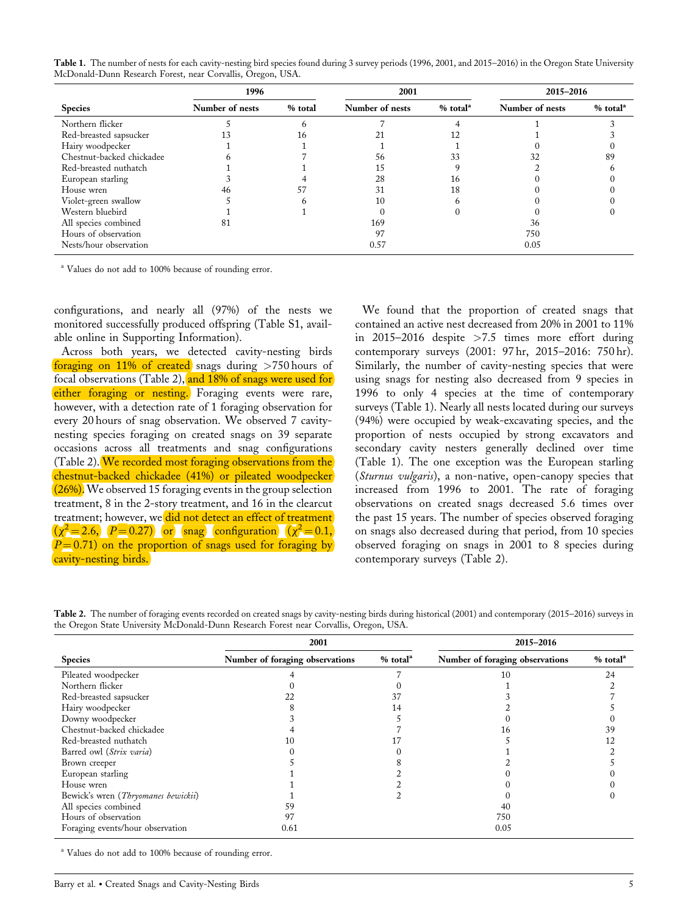**Table 1.** The number of nests for each cavity-nesting bird species found during 3 survey periods (1996, 2001, and 2015–2016) in the Oregon State University McDonald-Dunn Research Forest, near Corvallis, Oregon, USA.

|                           | 1996            |         | 2001            |                        | 2015-2016       |                      |
|---------------------------|-----------------|---------|-----------------|------------------------|-----------------|----------------------|
| <b>Species</b>            | Number of nests | % total | Number of nests | $%$ total <sup>a</sup> | Number of nests | % total <sup>a</sup> |
| Northern flicker          |                 |         |                 |                        |                 |                      |
| Red-breasted sapsucker    |                 |         |                 |                        |                 |                      |
| Hairy woodpecker          |                 |         |                 |                        |                 |                      |
| Chestnut-backed chickadee |                 |         | 56              |                        |                 | 89                   |
| Red-breasted nuthatch     |                 |         |                 |                        |                 |                      |
| European starling         |                 |         | 28              | 16                     |                 |                      |
| House wren                |                 |         | 31              | 18                     |                 |                      |
| Violet-green swallow      |                 |         | 10              |                        |                 |                      |
| Western bluebird          |                 |         |                 |                        |                 |                      |
| All species combined      | 81              |         | 169             |                        | 36              |                      |
| Hours of observation      |                 |         | 97              |                        | 750             |                      |
| Nests/hour observation    |                 |         | 0.57            |                        | 0.05            |                      |

<sup>a</sup> Values do not add to 100% because of rounding error.

configurations, and nearly all (97%) of the nests we monitored successfully produced offspring (Table S1, available online in Supporting Information).

Across both years, we detected cavity-nesting birds foraging on  $11\%$  of created snags during  $>750$  hours of focal observations (Table 2), and 18% of snags were used for either foraging or nesting. Foraging events were rare, however, with a detection rate of 1 foraging observation for every 20 hours of snag observation. We observed 7 cavitynesting species foraging on created snags on 39 separate occasions across all treatments and snag configurations (Table 2). We recorded most foraging observations from the chestnut-backed chickadee (41%) or pileated woodpecker  $(26%)$ . We observed 15 foraging events in the group selection treatment, 8 in the 2-story treatment, and 16 in the clearcut treatment; however, we did not detect an effect of treatment  $(\chi^2 = 2.6, P = 0.27)$  or snag configuration  $(\chi^2 = 0.1, P)$  $P = 0.71$  on the proportion of snags used for foraging by cavity-nesting birds.

We found that the proportion of created snags that contained an active nest decreased from 20% in 2001 to 11% in 2015–2016 despite >7.5 times more effort during contemporary surveys (2001: 97 hr, 2015–2016: 750 hr). Similarly, the number of cavity-nesting species that were using snags for nesting also decreased from 9 species in 1996 to only 4 species at the time of contemporary surveys (Table 1). Nearly all nests located during our surveys (94%) were occupied by weak-excavating species, and the proportion of nests occupied by strong excavators and secondary cavity nesters generally declined over time (Table 1). The one exception was the European starling (*Sturnus vulgaris*), a non-native, open-canopy species that increased from 1996 to 2001. The rate of foraging observations on created snags decreased 5.6 times over the past 15 years. The number of species observed foraging on snags also decreased during that period, from 10 species observed foraging on snags in 2001 to 8 species during contemporary surveys (Table 2).

**Table 2.** The number of foraging events recorded on created snags by cavity-nesting birds during historical (2001) and contemporary (2015–2016) surveys in the Oregon State University McDonald-Dunn Research Forest near Corvallis, Oregon, USA.

|                                     | 2001                            |                        | 2015-2016                       |                        |  |
|-------------------------------------|---------------------------------|------------------------|---------------------------------|------------------------|--|
| <b>Species</b>                      | Number of foraging observations | $%$ total <sup>a</sup> | Number of foraging observations | $%$ total <sup>a</sup> |  |
| Pileated woodpecker                 |                                 |                        | 10                              | 2.4                    |  |
| Northern flicker                    |                                 |                        |                                 |                        |  |
| Red-breasted sapsucker              | 22                              |                        |                                 |                        |  |
| Hairy woodpecker                    |                                 |                        |                                 |                        |  |
| Downy woodpecker                    |                                 |                        |                                 |                        |  |
| Chestnut-backed chickadee           |                                 |                        | 16                              | 39                     |  |
| Red-breasted nuthatch               | 10                              |                        |                                 |                        |  |
| Barred owl (Strix varia)            |                                 |                        |                                 |                        |  |
| Brown creeper                       |                                 |                        |                                 |                        |  |
| European starling                   |                                 |                        |                                 |                        |  |
| House wren                          |                                 |                        |                                 |                        |  |
| Bewick's wren (Thryomanes bewickii) |                                 |                        |                                 |                        |  |
| All species combined                | 59                              |                        | 40                              |                        |  |
| Hours of observation                | 97                              |                        | 750                             |                        |  |
| Foraging events/hour observation    | 0.61                            |                        | 0.05                            |                        |  |

<sup>a</sup> Values do not add to 100% because of rounding error.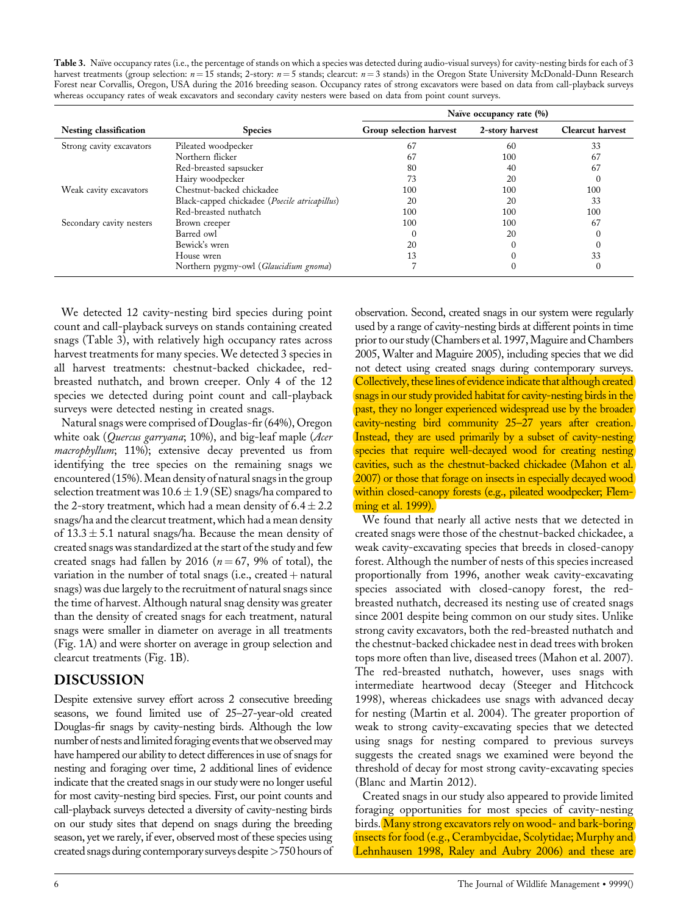Table 3. Naïve occupancy rates (i.e., the percentage of stands on which a species was detected during audio-visual surveys) for cavity-nesting birds for each of 3 harvest treatments (group selection:  $n=15$  stands; 2-story:  $n=5$  stands; clearcut:  $n=3$  stands) in the Oregon State University McDonald-Dunn Research Forest near Corvallis, Oregon, USA during the 2016 breeding season. Occupancy rates of strong excavators were based on data from call-playback surveys whereas occupancy rates of weak excavators and secondary cavity nesters were based on data from point count surveys.

|                               |                                               | Naïve occupancy rate (%) |                 |                         |
|-------------------------------|-----------------------------------------------|--------------------------|-----------------|-------------------------|
| <b>Nesting classification</b> | <b>Species</b>                                | Group selection harvest  | 2-story harvest | <b>Clearcut harvest</b> |
| Strong cavity excavators      | Pileated woodpecker                           | -67                      | 60              | 33                      |
|                               | Northern flicker                              | 67                       | 100             | 67                      |
|                               | Red-breasted sapsucker                        | 80                       | 40              | 67                      |
|                               | Hairy woodpecker                              | 73                       | 20              |                         |
| Weak cavity excavators        | Chestnut-backed chickadee                     | 100                      | 100             | 100                     |
|                               | Black-capped chickadee (Poecile atricapillus) | 20                       | 20              | 33                      |
|                               | Red-breasted nuthatch                         | 100                      | 100             | 100                     |
| Secondary cavity nesters      | Brown creeper                                 | 100                      | 100             | 67                      |
|                               | Barred owl                                    |                          | 20              |                         |
|                               | Bewick's wren                                 | 20                       |                 |                         |
|                               | House wren                                    | 13                       |                 | 33                      |
|                               | Northern pygmy-owl (Glaucidium gnoma)         |                          |                 | 0                       |

We detected 12 cavity-nesting bird species during point count and call-playback surveys on stands containing created snags (Table 3), with relatively high occupancy rates across harvest treatments for many species. We detected 3 species in all harvest treatments: chestnut-backed chickadee, redbreasted nuthatch, and brown creeper. Only 4 of the 12 species we detected during point count and call-playback surveys were detected nesting in created snags.

Natural snags were comprised of Douglas-fir (64%), Oregon white oak (*Quercus garryana*; 10%), and big-leaf maple (*Acer macrophyllum*; 11%); extensive decay prevented us from identifying the tree species on the remaining snags we encountered (15%). Mean density of natural snags in the group selection treatment was  $10.6 \pm 1.9$  (SE) snags/ha compared to the 2-story treatment, which had a mean density of  $6.4 \pm 2.2$ snags/ha and the clearcut treatment, which had a mean density of  $13.3 \pm 5.1$  natural snags/ha. Because the mean density of created snags was standardized at the start of the study and few created snags had fallen by 2016 ( $n = 67$ , 9% of total), the variation in the number of total snags (i.e., created  $+$  natural snags) was due largely to the recruitment of natural snags since the time of harvest. Although natural snag density was greater than the density of created snags for each treatment, natural snags were smaller in diameter on average in all treatments (Fig. 1A) and were shorter on average in group selection and clearcut treatments (Fig. 1B).

# **DISCUSSION**

Despite extensive survey effort across 2 consecutive breeding seasons, we found limited use of 25–27-year-old created Douglas-fir snags by cavity-nesting birds. Although the low number of nests and limited foraging events that we observed may have hampered our ability to detect differences in use of snags for nesting and foraging over time, 2 additional lines of evidence indicate that the created snags in our study were no longer useful for most cavity-nesting bird species. First, our point counts and call-playback surveys detected a diversity of cavity-nesting birds on our study sites that depend on snags during the breeding season, yet we rarely, if ever, observed most of these species using created snags during contemporary surveys despite>750 hours of

observation. Second, created snags in our system were regularly used by a range of cavity-nesting birds at different points in time prior to our study (Chambers et al. 1997, Maguire and Chambers 2005, Walter and Maguire 2005), including species that we did not detect using created snags during contemporary surveys. Collectively, these lines of evidence indicate that although created snags in our study provided habitat for cavity-nesting birds in the past, they no longer experienced widespread use by the broader cavity-nesting bird community 25–27 years after creation. Instead, they are used primarily by a subset of cavity-nesting species that require well-decayed wood for creating nesting cavities, such as the chestnut-backed chickadee (Mahon et al. 2007) or those that forage on insects in especially decayed wood within closed-canopy forests (e.g., pileated woodpecker; Flemming et al. 1999).

We found that nearly all active nests that we detected in created snags were those of the chestnut-backed chickadee, a weak cavity-excavating species that breeds in closed-canopy forest. Although the number of nests of this species increased proportionally from 1996, another weak cavity-excavating species associated with closed-canopy forest, the redbreasted nuthatch, decreased its nesting use of created snags since 2001 despite being common on our study sites. Unlike strong cavity excavators, both the red-breasted nuthatch and the chestnut-backed chickadee nest in dead trees with broken tops more often than live, diseased trees (Mahon et al. 2007). The red-breasted nuthatch, however, uses snags with intermediate heartwood decay (Steeger and Hitchcock 1998), whereas chickadees use snags with advanced decay for nesting (Martin et al. 2004). The greater proportion of weak to strong cavity-excavating species that we detected using snags for nesting compared to previous surveys suggests the created snags we examined were beyond the threshold of decay for most strong cavity-excavating species (Blanc and Martin 2012).

Created snags in our study also appeared to provide limited foraging opportunities for most species of cavity-nesting birds. Many strong excavators rely on wood- and bark-boring insects for food (e.g., Cerambycidae, Scolytidae; Murphy and Lehnhausen 1998, Raley and Aubry 2006) and these are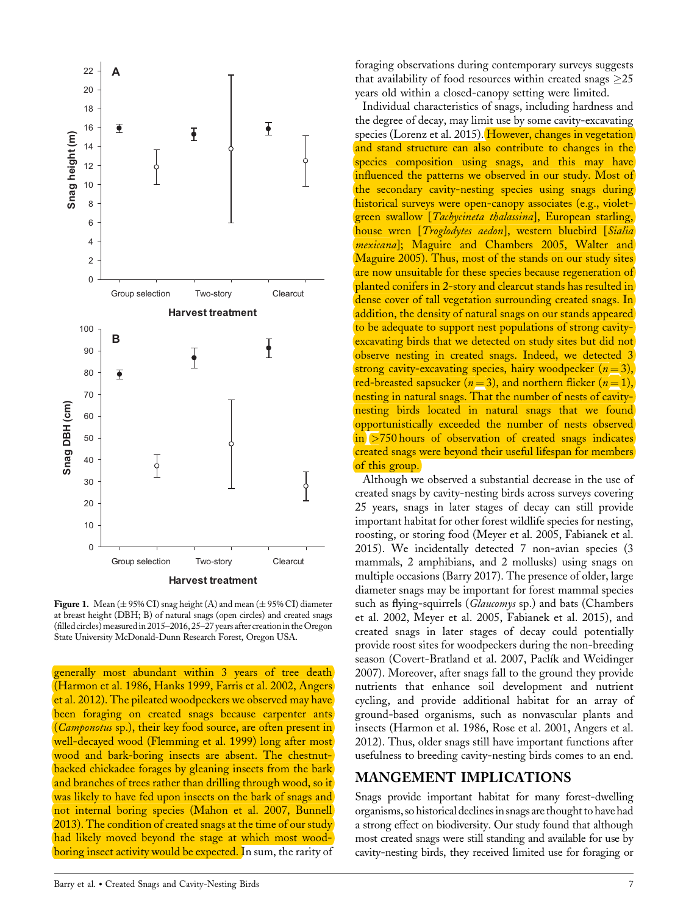

**Figure 1.** Mean  $(\pm 95\% \text{ CI})$  snag height  $(A)$  and mean  $(\pm 95\% \text{ CI})$  diameter at breast height (DBH; B) of natural snags (open circles) and created snags (filled circles) measured in 2015–2016, 25–27 years after creation in the Oregon State University McDonald-Dunn Research Forest, Oregon USA.

generally most abundant within 3 years of tree death (Harmon et al. 1986, Hanks 1999, Farris et al. 2002, Angers et al. 2012). The pileated woodpeckers we observed may have been foraging on created snags because carpenter ants (*Camponotus* sp.), their key food source, are often present in well-decayed wood (Flemming et al. 1999) long after most wood and bark-boring insects are absent. The chestnutbacked chickadee forages by gleaning insects from the bark and branches of trees rather than drilling through wood, so it was likely to have fed upon insects on the bark of snags and not internal boring species (Mahon et al. 2007, Bunnell 2013). The condition of created snags at the time of our study had likely moved beyond the stage at which most woodboring insect activity would be expected. In sum, the rarity of

Barry et al. - Created Snags and Cavity-Nesting Birds 7

foraging observations during contemporary surveys suggests that availability of food resources within created snags  $>25$ years old within a closed-canopy setting were limited.

Individual characteristics of snags, including hardness and the degree of decay, may limit use by some cavity-excavating species (Lorenz et al. 2015). However, changes in vegetation and stand structure can also contribute to changes in the species composition using snags, and this may have influenced the patterns we observed in our study. Most of the secondary cavity-nesting species using snags during historical surveys were open-canopy associates (e.g., violetgreen swallow [*Tachycineta thalassina*], European starling, house wren [*Troglodytes aedon*], western bluebird [*Sialia mexicana*]; Maguire and Chambers 2005, Walter and Maguire 2005). Thus, most of the stands on our study sites are now unsuitable for these species because regeneration of planted conifers in 2-story and clearcut stands has resulted in dense cover of tall vegetation surrounding created snags. In addition, the density of natural snags on our stands appeared to be adequate to support nest populations of strong cavityexcavating birds that we detected on study sites but did not observe nesting in created snags. Indeed, we detected 3 strong cavity-excavating species, hairy woodpecker  $(n=3)$ , red-breasted sapsucker ( $n = 3$ ), and northern flicker ( $n = 1$ ), nesting in natural snags. That the number of nests of cavitynesting birds located in natural snags that we found opportunistically exceeded the number of nests observed  $\sin$  >750 hours of observation of created snags indicates created snags were beyond their useful lifespan for members of this group.

Although we observed a substantial decrease in the use of created snags by cavity-nesting birds across surveys covering 25 years, snags in later stages of decay can still provide important habitat for other forest wildlife species for nesting, roosting, or storing food (Meyer et al. 2005, Fabianek et al. 2015). We incidentally detected 7 non-avian species (3 mammals, 2 amphibians, and 2 mollusks) using snags on multiple occasions (Barry 2017). The presence of older, large diameter snags may be important for forest mammal species such as flying-squirrels (*Glaucomys* sp.) and bats (Chambers et al. 2002, Meyer et al. 2005, Fabianek et al. 2015), and created snags in later stages of decay could potentially provide roost sites for woodpeckers during the non-breeding season (Covert-Bratland et al. 2007, Paclík and Weidinger 2007). Moreover, after snags fall to the ground they provide nutrients that enhance soil development and nutrient cycling, and provide additional habitat for an array of ground-based organisms, such as nonvascular plants and insects (Harmon et al. 1986, Rose et al. 2001, Angers et al. 2012). Thus, older snags still have important functions after usefulness to breeding cavity-nesting birds comes to an end.

## **MANGEMENT IMPLICATIONS**

Snags provide important habitat for many forest-dwelling organisms, so historical declinesin snags are thought to have had a strong effect on biodiversity. Our study found that although most created snags were still standing and available for use by cavity-nesting birds, they received limited use for foraging or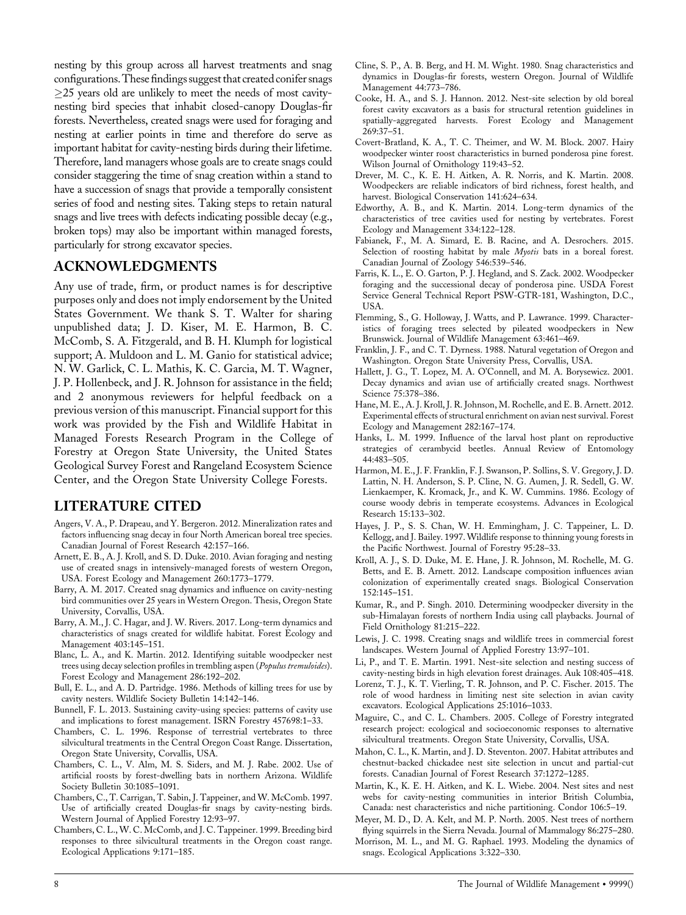nesting by this group across all harvest treatments and snag configurations.These findings suggest that created conifer snags  $\geq$ 25 years old are unlikely to meet the needs of most cavitynesting bird species that inhabit closed-canopy Douglas-fir forests. Nevertheless, created snags were used for foraging and nesting at earlier points in time and therefore do serve as important habitat for cavity-nesting birds during their lifetime. Therefore, land managers whose goals are to create snags could consider staggering the time of snag creation within a stand to have a succession of snags that provide a temporally consistent series of food and nesting sites. Taking steps to retain natural snags and live trees with defects indicating possible decay (e.g., broken tops) may also be important within managed forests, particularly for strong excavator species.

# **ACKNOWLEDGMENTS**

Any use of trade, firm, or product names is for descriptive purposes only and does not imply endorsement by the United States Government. We thank S. T. Walter for sharing unpublished data; J. D. Kiser, M. E. Harmon, B. C. McComb, S. A. Fitzgerald, and B. H. Klumph for logistical support; A. Muldoon and L. M. Ganio for statistical advice; N. W. Garlick, C. L. Mathis, K. C. Garcia, M. T. Wagner, J. P. Hollenbeck, and J. R. Johnson for assistance in the field; and 2 anonymous reviewers for helpful feedback on a previous version of this manuscript. Financial support for this work was provided by the Fish and Wildlife Habitat in Managed Forests Research Program in the College of Forestry at Oregon State University, the United States Geological Survey Forest and Rangeland Ecosystem Science Center, and the Oregon State University College Forests.

# **LITERATURE CITED**

- Angers, V. A., P. Drapeau, and Y. Bergeron. 2012. Mineralization rates and factors influencing snag decay in four North American boreal tree species. Canadian Journal of Forest Research 42:157–166.
- Arnett, E. B., A. J. Kroll, and S. D. Duke. 2010. Avian foraging and nesting use of created snags in intensively-managed forests of western Oregon, USA. Forest Ecology and Management 260:1773–1779.
- Barry, A. M. 2017. Created snag dynamics and influence on cavity-nesting bird communities over 25 years in Western Oregon. Thesis, Oregon State University, Corvallis, USA.
- Barry, A. M., J. C. Hagar, and J. W. Rivers. 2017. Long-term dynamics and characteristics of snags created for wildlife habitat. Forest Ecology and Management 403:145–151.
- Blanc, L. A., and K. Martin. 2012. Identifying suitable woodpecker nest trees using decay selection profiles in trembling aspen (*Populus tremuloides*). Forest Ecology and Management 286:192–202.
- Bull, E. L., and A. D. Partridge. 1986. Methods of killing trees for use by cavity nesters. Wildlife Society Bulletin 14:142–146.
- Bunnell, F. L. 2013. Sustaining cavity-using species: patterns of cavity use and implications to forest management. ISRN Forestry 457698:1–33.
- Chambers, C. L. 1996. Response of terrestrial vertebrates to three silvicultural treatments in the Central Oregon Coast Range. Dissertation, Oregon State University, Corvallis, USA.
- Chambers, C. L., V. Alm, M. S. Siders, and M. J. Rabe. 2002. Use of artificial roosts by forest-dwelling bats in northern Arizona. Wildlife Society Bulletin 30:1085–1091.
- Chambers, C., T. Carrigan, T. Sabin, J. Tappeiner, and W. McComb. 1997. Use of artificially created Douglas-fir snags by cavity-nesting birds. Western Journal of Applied Forestry 12:93–97.
- Chambers, C. L., W. C. McComb, and J. C. Tappeiner. 1999. Breeding bird responses to three silvicultural treatments in the Oregon coast range. Ecological Applications 9:171–185.
- Cline, S. P., A. B. Berg, and H. M. Wight. 1980. Snag characteristics and dynamics in Douglas-fir forests, western Oregon. Journal of Wildlife Management 44:773–786.
- Cooke, H. A., and S. J. Hannon. 2012. Nest-site selection by old boreal forest cavity excavators as a basis for structural retention guidelines in spatially-aggregated harvests. Forest Ecology and Management 269:37–51.
- Covert-Bratland, K. A., T. C. Theimer, and W. M. Block. 2007. Hairy woodpecker winter roost characteristics in burned ponderosa pine forest. Wilson Journal of Ornithology 119:43–52.
- Drever, M. C., K. E. H. Aitken, A. R. Norris, and K. Martin. 2008. Woodpeckers are reliable indicators of bird richness, forest health, and harvest. Biological Conservation 141:624–634.
- Edworthy, A. B., and K. Martin. 2014. Long-term dynamics of the characteristics of tree cavities used for nesting by vertebrates. Forest Ecology and Management 334:122–128.
- Fabianek, F., M. A. Simard, E. B. Racine, and A. Desrochers. 2015. Selection of roosting habitat by male *Myotis* bats in a boreal forest. Canadian Journal of Zoology 546:539–546.
- Farris, K. L., E. O. Garton, P. J. Hegland, and S. Zack. 2002. Woodpecker foraging and the successional decay of ponderosa pine. USDA Forest Service General Technical Report PSW-GTR-181, Washington, D.C., USA.
- Flemming, S., G. Holloway, J. Watts, and P. Lawrance. 1999. Characteristics of foraging trees selected by pileated woodpeckers in New Brunswick. Journal of Wildlife Management 63:461–469.
- Franklin, J. F., and C. T. Dyrness. 1988. Natural vegetation of Oregon and Washington. Oregon State University Press, Corvallis, USA.
- Hallett, J. G., T. Lopez, M. A. O'Connell, and M. A. Borysewicz. 2001. Decay dynamics and avian use of artificially created snags. Northwest Science 75:378–386.
- Hane, M. E., A. J. Kroll, J. R. Johnson, M. Rochelle, and E. B. Arnett. 2012. Experimental effects of structural enrichment on avian nest survival. Forest Ecology and Management 282:167–174.
- Hanks, L. M. 1999. Influence of the larval host plant on reproductive strategies of cerambycid beetles. Annual Review of Entomology 44:483–505.
- Harmon, M. E., J. F. Franklin, F. J. Swanson, P. Sollins, S. V. Gregory, J. D. Lattin, N. H. Anderson, S. P. Cline, N. G. Aumen, J. R. Sedell, G. W. Lienkaemper, K. Kromack, Jr., and K. W. Cummins. 1986. Ecology of course woody debris in temperate ecosystems. Advances in Ecological Research 15:133–302.
- Hayes, J. P., S. S. Chan, W. H. Emmingham, J. C. Tappeiner, L. D. Kellogg, and J. Bailey. 1997. Wildlife response to thinning young forests in the Pacific Northwest. Journal of Forestry 95:28–33.
- Kroll, A. J., S. D. Duke, M. E. Hane, J. R. Johnson, M. Rochelle, M. G. Betts, and E. B. Arnett. 2012. Landscape composition influences avian colonization of experimentally created snags. Biological Conservation 152:145–151.
- Kumar, R., and P. Singh. 2010. Determining woodpecker diversity in the sub-Himalayan forests of northern India using call playbacks. Journal of Field Ornithology 81:215–222.
- Lewis, J. C. 1998. Creating snags and wildlife trees in commercial forest landscapes. Western Journal of Applied Forestry 13:97–101.
- Li, P., and T. E. Martin. 1991. Nest-site selection and nesting success of cavity-nesting birds in high elevation forest drainages. Auk 108:405–418.
- Lorenz, T. J., K. T. Vierling, T. R. Johnson, and P. C. Fischer. 2015. The role of wood hardness in limiting nest site selection in avian cavity excavators. Ecological Applications 25:1016–1033.
- Maguire, C., and C. L. Chambers. 2005. College of Forestry integrated research project: ecological and socioeconomic responses to alternative silvicultural treatments. Oregon State University, Corvallis, USA.
- Mahon, C. L., K. Martin, and J. D. Steventon. 2007. Habitat attributes and chestnut-backed chickadee nest site selection in uncut and partial-cut forests. Canadian Journal of Forest Research 37:1272–1285.
- Martin, K., K. E. H. Aitken, and K. L. Wiebe. 2004. Nest sites and nest webs for cavity-nesting communities in interior British Columbia, Canada: nest characteristics and niche partitioning. Condor 106:5–19.
- Meyer, M. D., D. A. Kelt, and M. P. North. 2005. Nest trees of northern flying squirrels in the Sierra Nevada. Journal of Mammalogy 86:275–280.
- Morrison, M. L., and M. G. Raphael. 1993. Modeling the dynamics of snags. Ecological Applications 3:322–330.